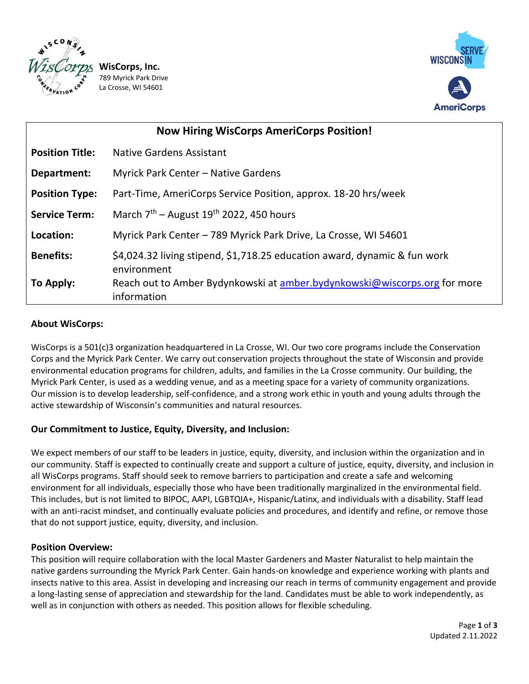

/8<br>La **WisCorps, Inc.** 789 Myrick Park Drive La Crosse, WI 54601



| <b>Now Hiring WisCorps AmeriCorps Position!</b> |                                                                                          |
|-------------------------------------------------|------------------------------------------------------------------------------------------|
| <b>Position Title:</b>                          | <b>Native Gardens Assistant</b>                                                          |
| Department:                                     | Myrick Park Center - Native Gardens                                                      |
| <b>Position Type:</b>                           | Part-Time, AmeriCorps Service Position, approx. 18-20 hrs/week                           |
| <b>Service Term:</b>                            | March $7th$ – August 19 <sup>th</sup> 2022, 450 hours                                    |
| Location:                                       | Myrick Park Center - 789 Myrick Park Drive, La Crosse, WI 54601                          |
| <b>Benefits:</b>                                | \$4,024.32 living stipend, \$1,718.25 education award, dynamic & fun work<br>environment |
| To Apply:                                       | Reach out to Amber Bydynkowski at amber.bydynkowski@wiscorps.org for more<br>information |

# **About WisCorps:**

WisCorps is a 501(c)3 organization headquartered in La Crosse, WI. Our two core programs include the Conservation Corps and the Myrick Park Center. We carry out conservation projects throughout the state of Wisconsin and provide environmental education programs for children, adults, and families in the La Crosse community. Our building, the Myrick Park Center, is used as a wedding venue, and as a meeting space for a variety of community organizations. Our mission is to develop leadership, self-confidence, and a strong work ethic in youth and young adults through the active stewardship of Wisconsin's communities and natural resources.

# **Our Commitment to Justice, Equity, Diversity, and Inclusion:**

We expect members of our staff to be leaders in justice, equity, diversity, and inclusion within the organization and in our community. Staff is expected to continually create and support a culture of justice, equity, diversity, and inclusion in all WisCorps programs. Staff should seek to remove barriers to participation and create a safe and welcoming environment for all individuals, especially those who have been traditionally marginalized in the environmental field. This includes, but is not limited to BIPOC, AAPI, LGBTQIA+, Hispanic/Latinx, and individuals with a disability. Staff lead with an anti-racist mindset, and continually evaluate policies and procedures, and identify and refine, or remove those that do not support justice, equity, diversity, and inclusion.

# **Position Overview:**

This position will require collaboration with the local Master Gardeners and Master Naturalist to help maintain the native gardens surrounding the Myrick Park Center. Gain hands-on knowledge and experience working with plants and insects native to this area. Assist in developing and increasing our reach in terms of community engagement and provide a long-lasting sense of appreciation and stewardship for the land. Candidates must be able to work independently, as well as in conjunction with others as needed. This position allows for flexible scheduling.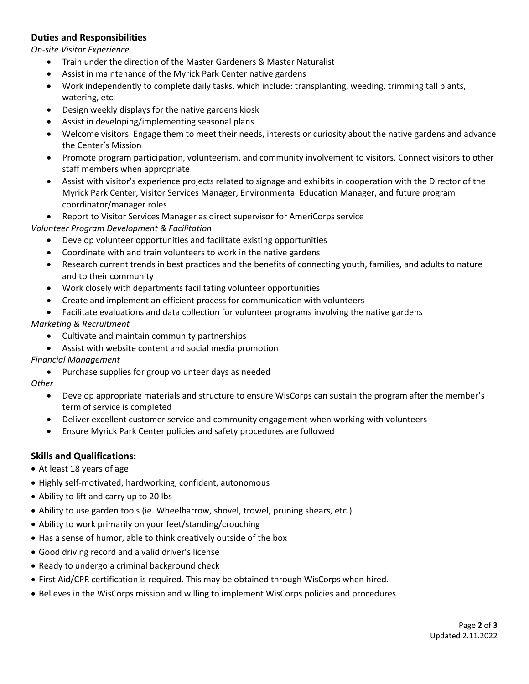### **Duties and Responsibilities**

*On-site Visitor Experience*

- Train under the direction of the Master Gardeners & Master Naturalist
- Assist in maintenance of the Myrick Park Center native gardens
- Work independently to complete daily tasks, which include: transplanting, weeding, trimming tall plants, watering, etc.
- Design weekly displays for the native gardens kiosk
- Assist in developing/implementing seasonal plans
- Welcome visitors. Engage them to meet their needs, interests or curiosity about the native gardens and advance the Center's Mission
- Promote program participation, volunteerism, and community involvement to visitors. Connect visitors to other staff members when appropriate
- Assist with visitor's experience projects related to signage and exhibits in cooperation with the Director of the Myrick Park Center, Visitor Services Manager, Environmental Education Manager, and future program coordinator/manager roles
- Report to Visitor Services Manager as direct supervisor for AmeriCorps service

*Volunteer Program Development & Facilitation* 

- Develop volunteer opportunities and facilitate existing opportunities
- Coordinate with and train volunteers to work in the native gardens
- Research current trends in best practices and the benefits of connecting youth, families, and adults to nature and to their community
- Work closely with departments facilitating volunteer opportunities
- Create and implement an efficient process for communication with volunteers
- Facilitate evaluations and data collection for volunteer programs involving the native gardens

### *Marketing & Recruitment*

- Cultivate and maintain community partnerships
- Assist with website content and social media promotion

#### *Financial Management*

Purchase supplies for group volunteer days as needed

#### *Other*

- Develop appropriate materials and structure to ensure WisCorps can sustain the program after the member's term of service is completed
- Deliver excellent customer service and community engagement when working with volunteers
- Ensure Myrick Park Center policies and safety procedures are followed

### **Skills and Qualifications:**

- At least 18 years of age
- Highly self-motivated, hardworking, confident, autonomous
- Ability to lift and carry up to 20 lbs
- Ability to use garden tools (ie. Wheelbarrow, shovel, trowel, pruning shears, etc.)
- Ability to work primarily on your feet/standing/crouching
- Has a sense of humor, able to think creatively outside of the box
- Good driving record and a valid driver's license
- Ready to undergo a criminal background check
- First Aid/CPR certification is required. This may be obtained through WisCorps when hired.
- Believes in the WisCorps mission and willing to implement WisCorps policies and procedures